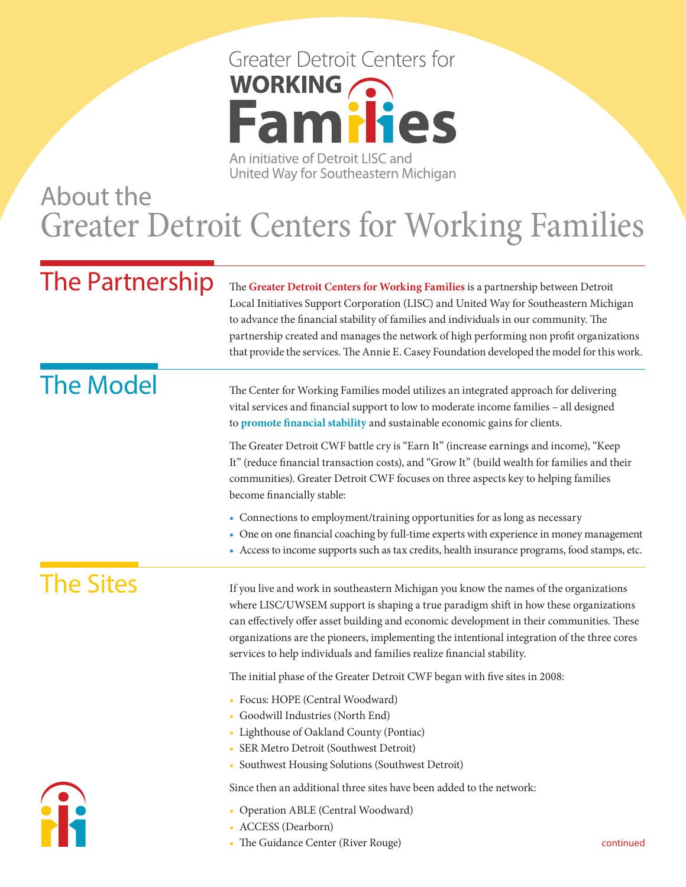# **Greater Detroit Centers for** WORKING CO **Families**

An initiative of Detroit LISC and United Way for Southeastern Michigan

#### About the Greater Detroit Centers for Working Families

The Partnership The **Greater Detroit Centers for Working Families** is a partnership between Detroit Local Initiatives Support Corporation (LISC) and United Way for Southeastern Michigan to advance the financial stability of families and individuals in our community. The partnership created and manages the network of high performing non profit organizations that provide the services. The Annie E. Casey Foundation developed the model for this work.

## The Model

The Center for Working Families model utilizes an integrated approach for delivering vital services and financial support to low to moderate income families – all designed to **promote financial stability** and sustainable economic gains for clients.

The Greater Detroit CWF battle cry is "Earn It" (increase earnings and income), "Keep It" (reduce financial transaction costs), and "Grow It" (build wealth for families and their communities). Greater Detroit CWF focuses on three aspects key to helping families become financially stable:

- Connections to employment/training opportunities for as long as necessary
- One on one financial coaching by full-time experts with experience in money management
- Access to income supports such as tax credits, health insurance programs, food stamps, etc.

#### The Sites

If you live and work in southeastern Michigan you know the names of the organizations where LISC/UWSEM support is shaping a true paradigm shift in how these organizations can effectively offer asset building and economic development in their communities. These organizations are the pioneers, implementing the intentional integration of the three cores services to help individuals and families realize financial stability.

The initial phase of the Greater Detroit CWF began with five sites in 2008:

- Focus: HOPE (Central Woodward)
- Goodwill Industries (North End)
- Lighthouse of Oakland County (Pontiac)
- SER Metro Detroit (Southwest Detroit)
- Southwest Housing Solutions (Southwest Detroit)

Since then an additional three sites have been added to the network:

- Operation ABLE (Central Woodward)
- ACCESS (Dearborn)
- The Guidance Center (River Rouge)